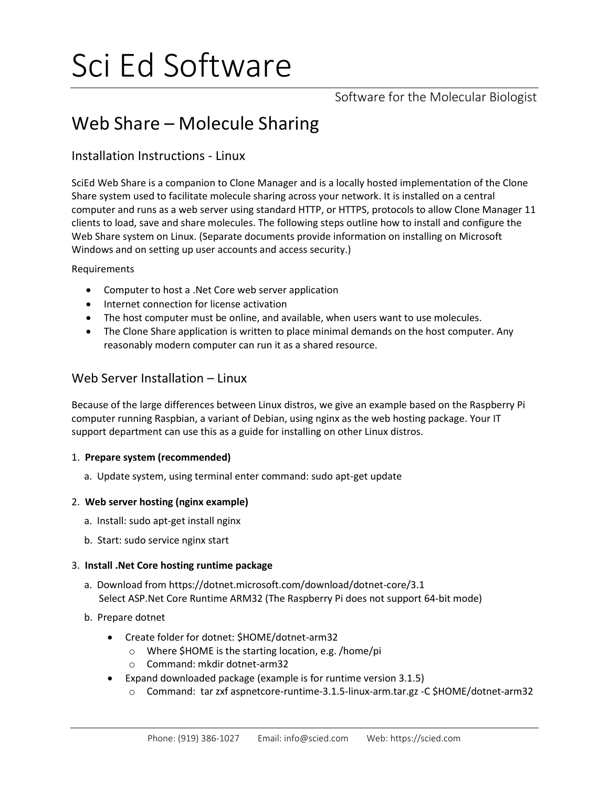# Sci Ed Software

Software for the Molecular Biologist

# Web Share – Molecule Sharing

# Installation Instructions - Linux

SciEd Web Share is a companion to Clone Manager and is a locally hosted implementation of the Clone Share system used to facilitate molecule sharing across your network. It is installed on a central computer and runs as a web server using standard HTTP, or HTTPS, protocols to allow Clone Manager 11 clients to load, save and share molecules. The following steps outline how to install and configure the Web Share system on Linux. (Separate documents provide information on installing on Microsoft Windows and on setting up user accounts and access security.)

Requirements

- Computer to host a .Net Core web server application
- Internet connection for license activation
- The host computer must be online, and available, when users want to use molecules.
- The Clone Share application is written to place minimal demands on the host computer. Any reasonably modern computer can run it as a shared resource.

# Web Server Installation – Linux

Because of the large differences between Linux distros, we give an example based on the Raspberry Pi computer running Raspbian, a variant of Debian, using nginx as the web hosting package. Your IT support department can use this as a guide for installing on other Linux distros.

# 1. **Prepare system (recommended)**

a. Update system, using terminal enter command: sudo apt-get update

# 2. **Web server hosting (nginx example)**

- a. Install: sudo apt-get install nginx
- b. Start: sudo service nginx start

# 3. **Install .Net Core hosting runtime package**

- a. Download from https://dotnet.microsoft.com/download/dotnet-core/3.1 Select ASP.Net Core Runtime ARM32 (The Raspberry Pi does not support 64-bit mode)
- b. Prepare dotnet
	- Create folder for dotnet: \$HOME/dotnet-arm32
		- o Where \$HOME is the starting location, e.g. /home/pi
		- o Command: mkdir dotnet-arm32
	- Expand downloaded package (example is for runtime version 3.1.5)
		- o Command: tar zxf aspnetcore-runtime-3.1.5-linux-arm.tar.gz -C \$HOME/dotnet-arm32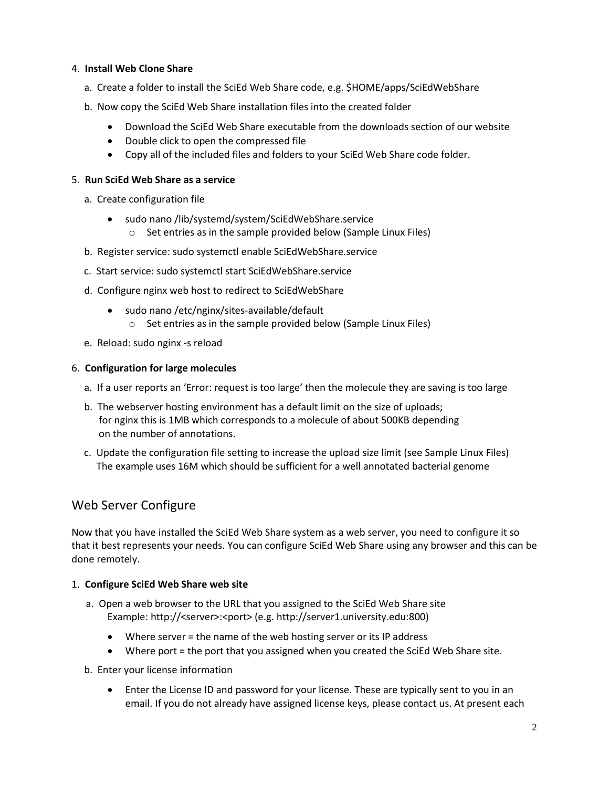#### 4. **Install Web Clone Share**

- a. Create a folder to install the SciEd Web Share code, e.g. \$HOME/apps/SciEdWebShare
- b. Now copy the SciEd Web Share installation files into the created folder
	- Download the SciEd Web Share executable from the downloads section of our website
	- Double click to open the compressed file
	- Copy all of the included files and folders to your SciEd Web Share code folder.

#### 5. **Run SciEd Web Share as a service**

- a. Create configuration file
	- sudo nano /lib/systemd/system/SciEdWebShare.service
		- $\circ$  Set entries as in the sample provided below (Sample Linux Files)
- b. Register service: sudo systemctl enable SciEdWebShare.service
- c. Start service: sudo systemctl start SciEdWebShare.service
- d. Configure nginx web host to redirect to SciEdWebShare
	- sudo nano /etc/nginx/sites-available/default o Set entries as in the sample provided below (Sample Linux Files)
- e. Reload: sudo nginx -s reload

## 6. **Configuration for large molecules**

- a. If a user reports an 'Error: request is too large' then the molecule they are saving is too large
- b. The webserver hosting environment has a default limit on the size of uploads; for nginx this is 1MB which corresponds to a molecule of about 500KB depending on the number of annotations.
- c. Update the configuration file setting to increase the upload size limit (see Sample Linux Files) The example uses 16M which should be sufficient for a well annotated bacterial genome

# Web Server Configure

Now that you have installed the SciEd Web Share system as a web server, you need to configure it so that it best represents your needs. You can configure SciEd Web Share using any browser and this can be done remotely.

# 1. **Configure SciEd Web Share web site**

- a. Open a web browser to the URL that you assigned to the SciEd Web Share site Example: http://<server>:<port> (e.g. http://server1.university.edu:800)
	- Where server = the name of the web hosting server or its IP address
	- Where port = the port that you assigned when you created the SciEd Web Share site.
- b. Enter your license information
	- Enter the License ID and password for your license. These are typically sent to you in an email. If you do not already have assigned license keys, please contact us. At present each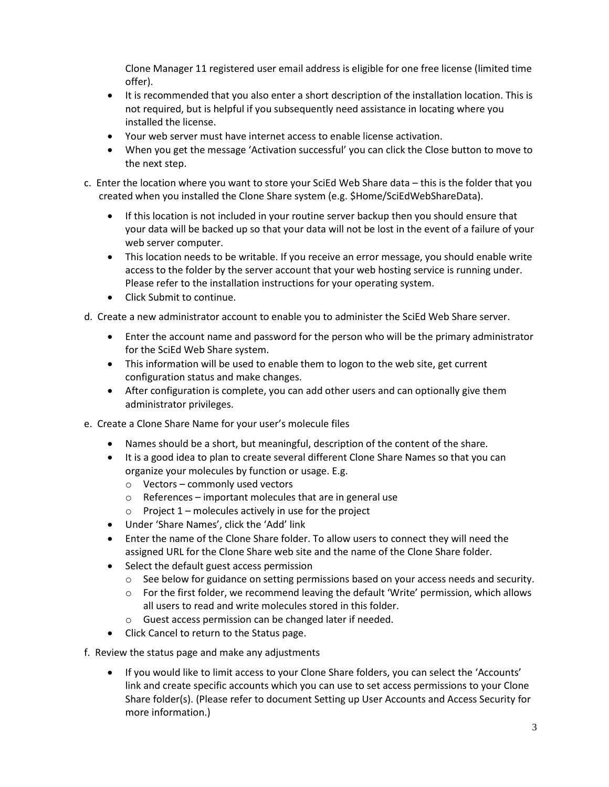Clone Manager 11 registered user email address is eligible for one free license (limited time offer).

- It is recommended that you also enter a short description of the installation location. This is not required, but is helpful if you subsequently need assistance in locating where you installed the license.
- Your web server must have internet access to enable license activation.
- When you get the message 'Activation successful' you can click the Close button to move to the next step.
- c. Enter the location where you want to store your SciEd Web Share data this is the folder that you created when you installed the Clone Share system (e.g. \$Home/SciEdWebShareData).
	- If this location is not included in your routine server backup then you should ensure that your data will be backed up so that your data will not be lost in the event of a failure of your web server computer.
	- This location needs to be writable. If you receive an error message, you should enable write access to the folder by the server account that your web hosting service is running under. Please refer to the installation instructions for your operating system.
	- Click Submit to continue.

d. Create a new administrator account to enable you to administer the SciEd Web Share server.

- Enter the account name and password for the person who will be the primary administrator for the SciEd Web Share system.
- This information will be used to enable them to logon to the web site, get current configuration status and make changes.
- After configuration is complete, you can add other users and can optionally give them administrator privileges.
- e. Create a Clone Share Name for your user's molecule files
	- Names should be a short, but meaningful, description of the content of the share.
	- It is a good idea to plan to create several different Clone Share Names so that you can organize your molecules by function or usage. E.g.
		- o Vectors commonly used vectors
		- $\circ$  References important molecules that are in general use
		- $\circ$  Project 1 molecules actively in use for the project
	- Under 'Share Names', click the 'Add' link
	- Enter the name of the Clone Share folder. To allow users to connect they will need the assigned URL for the Clone Share web site and the name of the Clone Share folder.
	- Select the default guest access permission
		- $\circ$  See below for guidance on setting permissions based on your access needs and security.
		- $\circ$  For the first folder, we recommend leaving the default 'Write' permission, which allows all users to read and write molecules stored in this folder.
		- o Guest access permission can be changed later if needed.
	- Click Cancel to return to the Status page.
- f. Review the status page and make any adjustments
	- If you would like to limit access to your Clone Share folders, you can select the 'Accounts' link and create specific accounts which you can use to set access permissions to your Clone Share folder(s). (Please refer to document Setting up User Accounts and Access Security for more information.)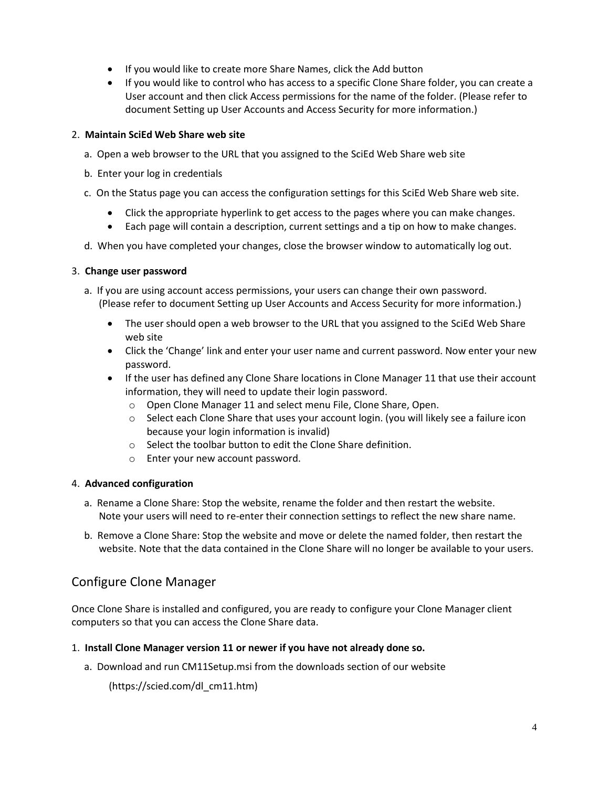- If you would like to create more Share Names, click the Add button
- If you would like to control who has access to a specific Clone Share folder, you can create a User account and then click Access permissions for the name of the folder. (Please refer to document Setting up User Accounts and Access Security for more information.)

## 2. **Maintain SciEd Web Share web site**

- a. Open a web browser to the URL that you assigned to the SciEd Web Share web site
- b. Enter your log in credentials
- c. On the Status page you can access the configuration settings for this SciEd Web Share web site.
	- Click the appropriate hyperlink to get access to the pages where you can make changes.
	- Each page will contain a description, current settings and a tip on how to make changes.
- d. When you have completed your changes, close the browser window to automatically log out.

#### 3. **Change user password**

- a. If you are using account access permissions, your users can change their own password. (Please refer to document Setting up User Accounts and Access Security for more information.)
	- The user should open a web browser to the URL that you assigned to the SciEd Web Share web site
	- Click the 'Change' link and enter your user name and current password. Now enter your new password.
	- If the user has defined any Clone Share locations in Clone Manager 11 that use their account information, they will need to update their login password.
		- o Open Clone Manager 11 and select menu File, Clone Share, Open.
		- o Select each Clone Share that uses your account login. (you will likely see a failure icon because your login information is invalid)
		- o Select the toolbar button to edit the Clone Share definition.
		- o Enter your new account password.

# 4. **Advanced configuration**

- a. Rename a Clone Share: Stop the website, rename the folder and then restart the website. Note your users will need to re-enter their connection settings to reflect the new share name.
- b. Remove a Clone Share: Stop the website and move or delete the named folder, then restart the website. Note that the data contained in the Clone Share will no longer be available to your users.

# Configure Clone Manager

Once Clone Share is installed and configured, you are ready to configure your Clone Manager client computers so that you can access the Clone Share data.

# 1. **Install Clone Manager version 11 or newer if you have not already done so.**

a. Download and run CM11Setup.msi from the downloads section of our website

(https://scied.com/dl\_cm11.htm)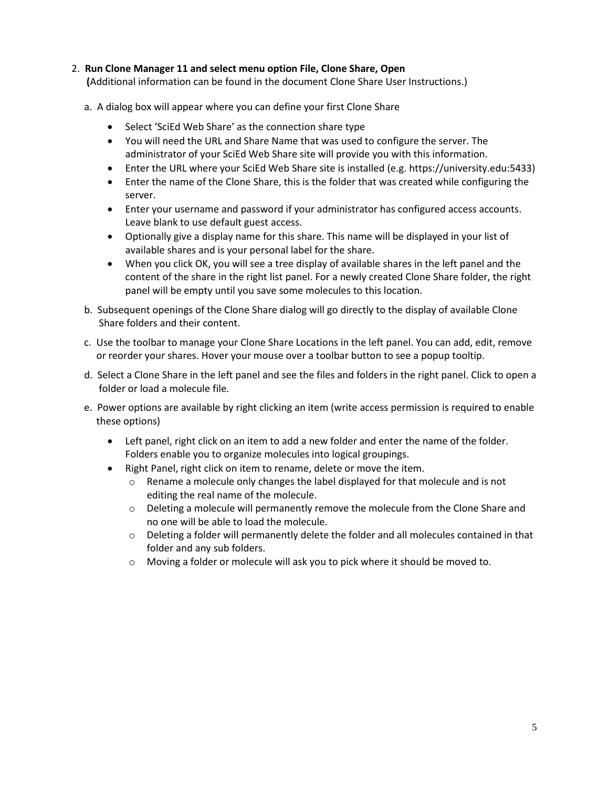## 2. **Run Clone Manager 11 and select menu option File, Clone Share, Open**

 **(**Additional information can be found in the document Clone Share User Instructions.)

- a. A dialog box will appear where you can define your first Clone Share
	- Select 'SciEd Web Share' as the connection share type
	- You will need the URL and Share Name that was used to configure the server. The administrator of your SciEd Web Share site will provide you with this information.
	- Enter the URL where your SciEd Web Share site is installed (e.g. https://university.edu:5433)
	- Enter the name of the Clone Share, this is the folder that was created while configuring the server.
	- Enter your username and password if your administrator has configured access accounts. Leave blank to use default guest access.
	- Optionally give a display name for this share. This name will be displayed in your list of available shares and is your personal label for the share.
	- When you click OK, you will see a tree display of available shares in the left panel and the content of the share in the right list panel. For a newly created Clone Share folder, the right panel will be empty until you save some molecules to this location.
- b. Subsequent openings of the Clone Share dialog will go directly to the display of available Clone Share folders and their content.
- c. Use the toolbar to manage your Clone Share Locations in the left panel. You can add, edit, remove or reorder your shares. Hover your mouse over a toolbar button to see a popup tooltip.
- d. Select a Clone Share in the left panel and see the files and folders in the right panel. Click to open a folder or load a molecule file.
- e. Power options are available by right clicking an item (write access permission is required to enable these options)
	- Left panel, right click on an item to add a new folder and enter the name of the folder. Folders enable you to organize molecules into logical groupings.
	- Right Panel, right click on item to rename, delete or move the item.
		- $\circ$  Rename a molecule only changes the label displayed for that molecule and is not editing the real name of the molecule.
		- $\circ$  Deleting a molecule will permanently remove the molecule from the Clone Share and no one will be able to load the molecule.
		- o Deleting a folder will permanently delete the folder and all molecules contained in that folder and any sub folders.
		- o Moving a folder or molecule will ask you to pick where it should be moved to.